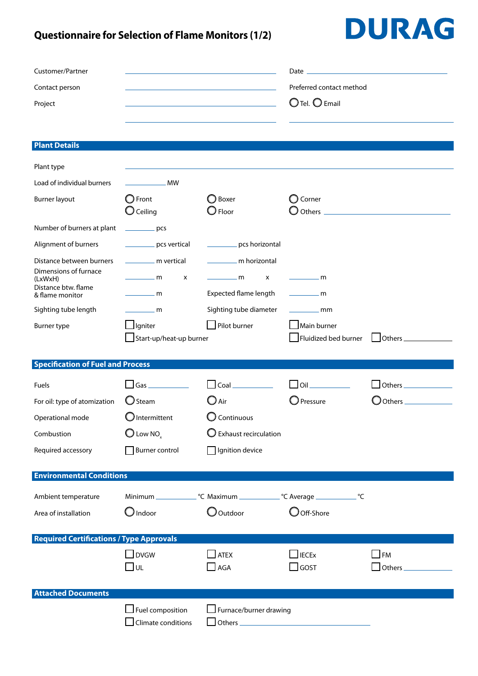### **Questionnaire for Selection of Flame Monitors (1/2)**

## DURAG

| Contact person<br>Project<br><b>Plant Details</b><br>Plant type<br>Load of individual burners<br>Burner layout<br>Number of burners at plant<br>Alignment of burners<br>Distance between burners<br>Dimensions of furnace<br>(LxWxH)<br>Distance btw. flame<br>& flame monitor<br>Sighting tube length<br>Burner type<br><b>Specification of Fuel and Process</b> | <b>MW</b><br>$\bigcirc$ Front<br>$\bigcirc$ Ceiling<br>$\rule{1em}{0.15mm}$ pcs<br>pcs vertical<br>________ m vertical | the control of the control of the control of the control of<br>$\bigcirc$ Boxer<br>$\bigcirc$ Floor | Preferred contact method<br>$O$ Tel. $O$ Email<br>$\bigcirc$ Corner |                      |  |  |  |
|-------------------------------------------------------------------------------------------------------------------------------------------------------------------------------------------------------------------------------------------------------------------------------------------------------------------------------------------------------------------|------------------------------------------------------------------------------------------------------------------------|-----------------------------------------------------------------------------------------------------|---------------------------------------------------------------------|----------------------|--|--|--|
|                                                                                                                                                                                                                                                                                                                                                                   |                                                                                                                        |                                                                                                     |                                                                     |                      |  |  |  |
|                                                                                                                                                                                                                                                                                                                                                                   |                                                                                                                        |                                                                                                     |                                                                     |                      |  |  |  |
|                                                                                                                                                                                                                                                                                                                                                                   |                                                                                                                        |                                                                                                     |                                                                     |                      |  |  |  |
|                                                                                                                                                                                                                                                                                                                                                                   |                                                                                                                        |                                                                                                     |                                                                     |                      |  |  |  |
|                                                                                                                                                                                                                                                                                                                                                                   |                                                                                                                        |                                                                                                     |                                                                     |                      |  |  |  |
|                                                                                                                                                                                                                                                                                                                                                                   |                                                                                                                        |                                                                                                     |                                                                     |                      |  |  |  |
|                                                                                                                                                                                                                                                                                                                                                                   |                                                                                                                        |                                                                                                     |                                                                     |                      |  |  |  |
|                                                                                                                                                                                                                                                                                                                                                                   |                                                                                                                        |                                                                                                     |                                                                     |                      |  |  |  |
|                                                                                                                                                                                                                                                                                                                                                                   |                                                                                                                        |                                                                                                     |                                                                     |                      |  |  |  |
|                                                                                                                                                                                                                                                                                                                                                                   |                                                                                                                        |                                                                                                     |                                                                     |                      |  |  |  |
|                                                                                                                                                                                                                                                                                                                                                                   |                                                                                                                        | pcs horizontal                                                                                      |                                                                     |                      |  |  |  |
|                                                                                                                                                                                                                                                                                                                                                                   |                                                                                                                        | m horizontal                                                                                        |                                                                     |                      |  |  |  |
|                                                                                                                                                                                                                                                                                                                                                                   | $\rule{1em}{0.15mm}$ m<br>X                                                                                            | $\frac{1}{\sqrt{2}}$ m<br>x                                                                         | _________ m                                                         |                      |  |  |  |
|                                                                                                                                                                                                                                                                                                                                                                   | $\frac{1}{2}$ m                                                                                                        | Expected flame length                                                                               | - m                                                                 |                      |  |  |  |
|                                                                                                                                                                                                                                                                                                                                                                   | $\frac{1}{\sqrt{2}}$ m                                                                                                 | Sighting tube diameter                                                                              | $-$ mm                                                              |                      |  |  |  |
|                                                                                                                                                                                                                                                                                                                                                                   | $\Box$ lgniter                                                                                                         | Pilot burner                                                                                        | $\Box$ Main burner                                                  |                      |  |  |  |
|                                                                                                                                                                                                                                                                                                                                                                   | Start-up/heat-up burner                                                                                                |                                                                                                     | Fluidized bed burner                                                | $\Box$ Others $\_\_$ |  |  |  |
|                                                                                                                                                                                                                                                                                                                                                                   |                                                                                                                        |                                                                                                     |                                                                     |                      |  |  |  |
|                                                                                                                                                                                                                                                                                                                                                                   |                                                                                                                        |                                                                                                     |                                                                     |                      |  |  |  |
| Fuels                                                                                                                                                                                                                                                                                                                                                             | $\Box$ Gas $\Box$                                                                                                      | $\bigsqcup$ Coal $\lrcorner$                                                                        | $\Box$ Oil $\Box$                                                   | $\Box$ Others $\Box$ |  |  |  |
| For oil: type of atomization                                                                                                                                                                                                                                                                                                                                      | $\bigcirc$ Steam                                                                                                       | (C) Air                                                                                             | $\bigcirc$ Pressure                                                 | $\bigcirc$ Others    |  |  |  |
| Operational mode                                                                                                                                                                                                                                                                                                                                                  | $\bigcup$ Intermittent                                                                                                 | Continuous                                                                                          |                                                                     |                      |  |  |  |
| Combustion                                                                                                                                                                                                                                                                                                                                                        | $\bigcirc$ Low NO <sub>x</sub>                                                                                         | $\bigcirc$ Exhaust recirculation                                                                    |                                                                     |                      |  |  |  |
| Required accessory                                                                                                                                                                                                                                                                                                                                                | Burner control                                                                                                         | Ignition device                                                                                     |                                                                     |                      |  |  |  |
| <b>Environmental Conditions</b>                                                                                                                                                                                                                                                                                                                                   |                                                                                                                        |                                                                                                     |                                                                     |                      |  |  |  |
|                                                                                                                                                                                                                                                                                                                                                                   |                                                                                                                        |                                                                                                     |                                                                     |                      |  |  |  |
| Ambient temperature                                                                                                                                                                                                                                                                                                                                               |                                                                                                                        |                                                                                                     | °C                                                                  |                      |  |  |  |
| Area of installation                                                                                                                                                                                                                                                                                                                                              | $\bigcirc$ Indoor                                                                                                      | O Outdoor                                                                                           | $\bigcirc$ Off-Shore                                                |                      |  |  |  |
| <b>Required Certifications / Type Approvals</b>                                                                                                                                                                                                                                                                                                                   |                                                                                                                        |                                                                                                     |                                                                     |                      |  |  |  |
|                                                                                                                                                                                                                                                                                                                                                                   | $\Box$ DVGW                                                                                                            | <b>ATEX</b>                                                                                         | $\mathsf{\mathsf{I}}$ IECEx                                         | $\Box$ FM            |  |  |  |
|                                                                                                                                                                                                                                                                                                                                                                   | ∟ש                                                                                                                     | $\Box$ AGA                                                                                          | GOST                                                                | $\Box$ Others        |  |  |  |
|                                                                                                                                                                                                                                                                                                                                                                   |                                                                                                                        |                                                                                                     |                                                                     |                      |  |  |  |
|                                                                                                                                                                                                                                                                                                                                                                   |                                                                                                                        |                                                                                                     |                                                                     |                      |  |  |  |
|                                                                                                                                                                                                                                                                                                                                                                   | $\Box$ Fuel composition                                                                                                | Furnace/burner drawing                                                                              |                                                                     |                      |  |  |  |
| <b>Attached Documents</b>                                                                                                                                                                                                                                                                                                                                         |                                                                                                                        |                                                                                                     |                                                                     |                      |  |  |  |